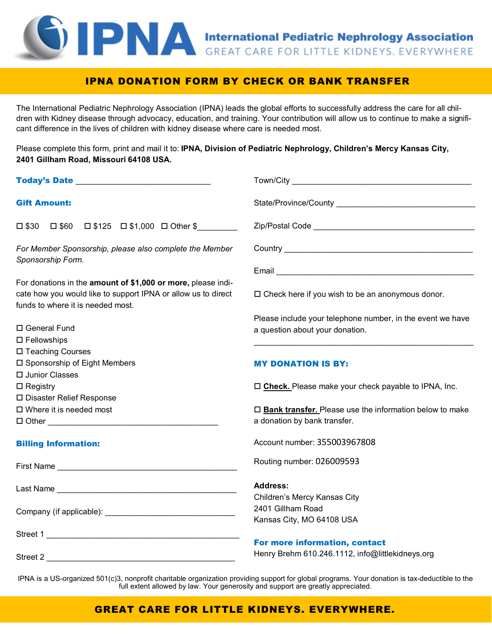# **EDRAM International Pediatric Nephrology Association**

### IPNA DONATION FORM BY CHECK OR BANK TRANSFER

The International Pediatric Nephrology Association (IPNA) leads the global efforts to successfully address the care for all children with Kidney disease through advocacy, education, and training. Your contribution will allow us to continue to make a significant difference in the lives of children with kidney disease where care is needed most.

Please complete this form, print and mail it to: **IPNA, Division of Pediatric Nephrology, Children's Mercy Kansas City, 2401 Gillham Road, Missouri 64108 USA.** 

| Today's Date <b>Exercise Service Service Contract Contract Contract Contract Contract Contract Contract Contract Contract Contract Contract Contract Contract Contract Contract Contract Contract Contract Contract Contract Con</b> |                                                                   |
|--------------------------------------------------------------------------------------------------------------------------------------------------------------------------------------------------------------------------------------|-------------------------------------------------------------------|
| <b>Gift Amount:</b>                                                                                                                                                                                                                  |                                                                   |
| $\Box $30 \quad \Box $60 \quad \Box $125 \quad \Box $1,000 \quad \Box \text{ Other $$\s$                                                                                                                                             |                                                                   |
| For Member Sponsorship, please also complete the Member<br>Sponsorship Form.                                                                                                                                                         |                                                                   |
|                                                                                                                                                                                                                                      |                                                                   |
| For donations in the amount of \$1,000 or more, please indi-                                                                                                                                                                         |                                                                   |
| cate how you would like to support IPNA or allow us to direct                                                                                                                                                                        | $\Box$ Check here if you wish to be an anonymous donor.           |
| funds to where it is needed most.                                                                                                                                                                                                    |                                                                   |
|                                                                                                                                                                                                                                      | Please include your telephone number, in the event we have        |
| □ General Fund                                                                                                                                                                                                                       | a question about your donation.                                   |
| $\square$ Fellowships                                                                                                                                                                                                                |                                                                   |
| □ Teaching Courses                                                                                                                                                                                                                   |                                                                   |
| □ Sponsorship of Eight Members                                                                                                                                                                                                       | <b>MY DONATION IS BY:</b>                                         |
| □ Junior Classes                                                                                                                                                                                                                     |                                                                   |
| $\square$ Registry                                                                                                                                                                                                                   | □ Check. Please make your check payable to IPNA, Inc.             |
| □ Disaster Relief Response<br>$\Box$ Where it is needed most                                                                                                                                                                         | $\square$ Bank transfer. Please use the information below to make |
|                                                                                                                                                                                                                                      | a donation by bank transfer.                                      |
|                                                                                                                                                                                                                                      |                                                                   |
| <b>Billing Information:</b>                                                                                                                                                                                                          | Account number: 355003967808                                      |
|                                                                                                                                                                                                                                      | Routing number: 026009593                                         |
|                                                                                                                                                                                                                                      | <b>Address:</b>                                                   |
|                                                                                                                                                                                                                                      | Children's Mercy Kansas City                                      |
|                                                                                                                                                                                                                                      | 2401 Gillham Road                                                 |
|                                                                                                                                                                                                                                      | Kansas City, MO 64108 USA                                         |
| Street 1                                                                                                                                                                                                                             |                                                                   |
|                                                                                                                                                                                                                                      | For more information, contact                                     |
|                                                                                                                                                                                                                                      | Henry Brehm 610.246.1112, info@littlekidneys.org                  |

IPNA is a US-organized 501(c)3, nonprofit charitable organization providing support for global programs. Your donation is tax-deductible to the full extent allowed by law. Your generosity and support are greatly appreciated.

## GREAT CARE FOR LITTLE KIDNEYS. EVERYWHERE.